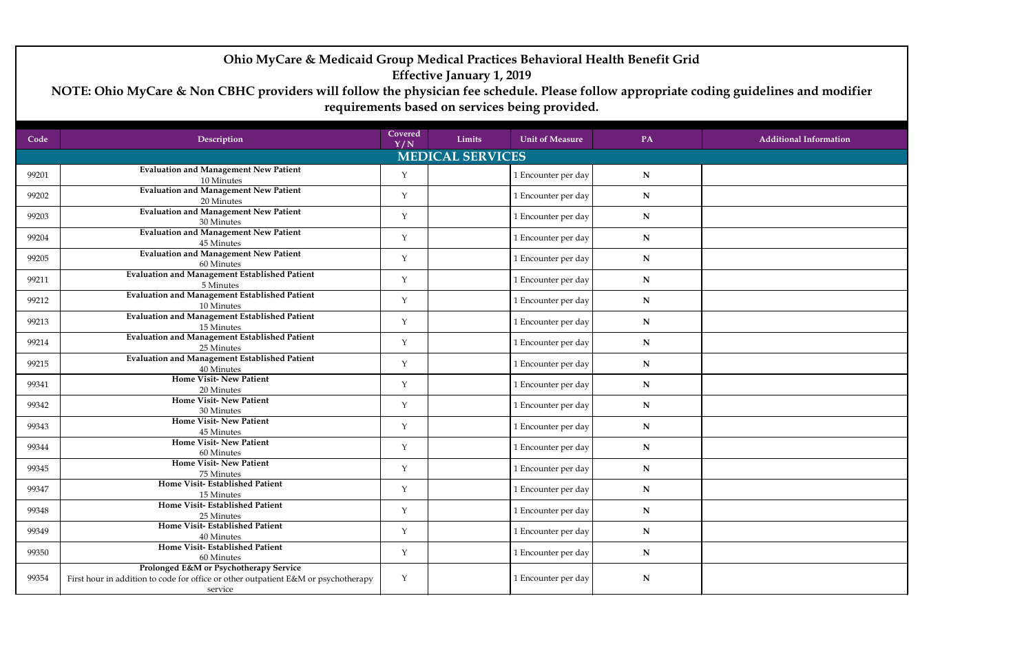| Code                    | Description                                                                                                                             | <b>Covered</b><br>Y/N | Limits | <b>Unit of Measure</b> | PA          | <b>Additional Information</b> |  |  |  |
|-------------------------|-----------------------------------------------------------------------------------------------------------------------------------------|-----------------------|--------|------------------------|-------------|-------------------------------|--|--|--|
| <b>MEDICAL SERVICES</b> |                                                                                                                                         |                       |        |                        |             |                               |  |  |  |
| 99201                   | <b>Evaluation and Management New Patient</b><br>10 Minutes                                                                              | $\mathcal{N}$         |        | 1 Encounter per day    | $\mathbf N$ |                               |  |  |  |
| 99202                   | <b>Evaluation and Management New Patient</b><br>20 Minutes                                                                              | $\mathbf{\hat{Y}}$    |        | 1 Encounter per day    | $\mathbf N$ |                               |  |  |  |
| 99203                   | <b>Evaluation and Management New Patient</b><br>30 Minutes                                                                              | $\mathcal{N}$         |        | 1 Encounter per day    | $\mathbf N$ |                               |  |  |  |
| 99204                   | <b>Evaluation and Management New Patient</b><br>45 Minutes                                                                              | $\mathcal{N}$         |        | 1 Encounter per day    | $\mathbf N$ |                               |  |  |  |
| 99205                   | <b>Evaluation and Management New Patient</b><br>60 Minutes                                                                              | $\mathbf{\hat{v}}$    |        | 1 Encounter per day    | $\mathbf N$ |                               |  |  |  |
| 99211                   | <b>Evaluation and Management Established Patient</b><br>5 Minutes                                                                       | $\mathcal{N}$         |        | 1 Encounter per day    | N           |                               |  |  |  |
| 99212                   | <b>Evaluation and Management Established Patient</b><br>10 Minutes                                                                      | $\mathcal{N}$         |        | 1 Encounter per day    | $\mathbf N$ |                               |  |  |  |
| 99213                   | <b>Evaluation and Management Established Patient</b><br>15 Minutes                                                                      | $\mathcal{N}$         |        | 1 Encounter per day    | $\mathbf N$ |                               |  |  |  |
| 99214                   | <b>Evaluation and Management Established Patient</b><br>25 Minutes                                                                      |                       |        | 1 Encounter per day    | N           |                               |  |  |  |
| 99215                   | <b>Evaluation and Management Established Patient</b><br>40 Minutes                                                                      | $\lambda$             |        | 1 Encounter per day    | $\mathbf N$ |                               |  |  |  |
| 99341                   | <b>Home Visit-New Patient</b><br>20 Minutes                                                                                             | $\mathbf{v}$          |        | 1 Encounter per day    | $\mathbf N$ |                               |  |  |  |
| 99342                   | <b>Home Visit-New Patient</b><br>30 Minutes                                                                                             |                       |        | 1 Encounter per day    | $\mathbf N$ |                               |  |  |  |
| 99343                   | <b>Home Visit-New Patient</b><br>45 Minutes                                                                                             | $\mathcal{N}$         |        | 1 Encounter per day    | $\mathbf N$ |                               |  |  |  |
| 99344                   | <b>Home Visit-New Patient</b><br>60 Minutes                                                                                             | $\mathbf{v}$          |        | 1 Encounter per day    | ${\bf N}$   |                               |  |  |  |
| 99345                   | <b>Home Visit-New Patient</b><br>75 Minutes                                                                                             |                       |        | 1 Encounter per day    | $\mathbf N$ |                               |  |  |  |
| 99347                   | Home Visit-Established Patient<br>15 Minutes                                                                                            | $\mathcal{N}$         |        | 1 Encounter per day    | $\mathbf N$ |                               |  |  |  |
| 99348                   | <b>Home Visit-Established Patient</b><br>25 Minutes                                                                                     | $\mathcal{N}$         |        | 1 Encounter per day    | N           |                               |  |  |  |
| 99349                   | Home Visit-Established Patient<br>40 Minutes                                                                                            | $\mathsf{Y}$          |        | 1 Encounter per day    | $\mathbf N$ |                               |  |  |  |
| 99350                   | Home Visit-Established Patient<br>60 Minutes                                                                                            | $\mathcal{N}$         |        | 1 Encounter per day    | $\mathbf N$ |                               |  |  |  |
| 99354                   | Prolonged E&M or Psychotherapy Service<br>First hour in addition to code for office or other outpatient E&M or psychotherapy<br>service | $\mathsf{Y}$          |        | 1 Encounter per day    | N           |                               |  |  |  |

## **Ohio MyCare & Medicaid Group Medical Practices Behavioral Health Benefit Grid Effective January 1, 2019 NOTE: Ohio MyCare & Non CBHC providers will follow the physician fee schedule. Please follow appropriate coding guidelines and modifier**

**requirements based on services being provided.**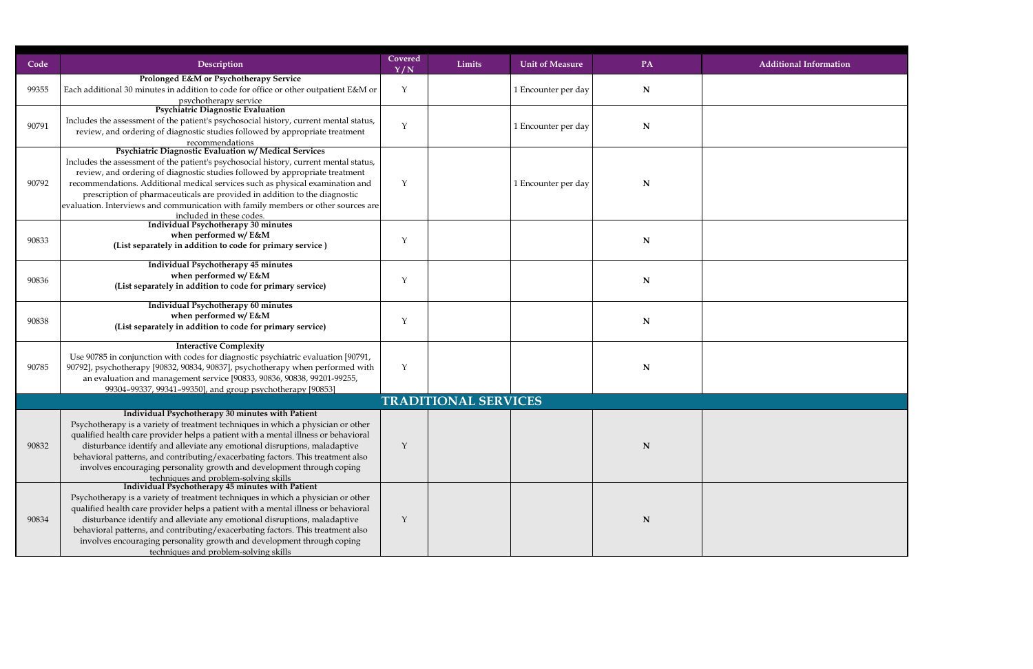| Code  | Description                                                                                                                                                                                                                                                                                                                                                                                                                                                                                                           | Covered<br>Y/N | Limits                      | <b>Unit of Measure</b> | PA | <b>Additional Information</b> |
|-------|-----------------------------------------------------------------------------------------------------------------------------------------------------------------------------------------------------------------------------------------------------------------------------------------------------------------------------------------------------------------------------------------------------------------------------------------------------------------------------------------------------------------------|----------------|-----------------------------|------------------------|----|-------------------------------|
| 99355 | <b>Prolonged E&amp;M or Psychotherapy Service</b><br>Each additional 30 minutes in addition to code for office or other outpatient E&M or<br>psychotherapy service                                                                                                                                                                                                                                                                                                                                                    | Y              |                             | 1 Encounter per day    | N  |                               |
| 90791 | <b>Psychiatric Diagnostic Evaluation</b><br>Includes the assessment of the patient's psychosocial history, current mental status,<br>review, and ordering of diagnostic studies followed by appropriate treatment<br>recommendations                                                                                                                                                                                                                                                                                  | $\mathsf{Y}$   |                             | 1 Encounter per day    | N  |                               |
| 90792 | <b>Psychiatric Diagnostic Evaluation w/ Medical Services</b><br>Includes the assessment of the patient's psychosocial history, current mental status,<br>review, and ordering of diagnostic studies followed by appropriate treatment<br>recommendations. Additional medical services such as physical examination and<br>prescription of pharmaceuticals are provided in addition to the diagnostic<br>evaluation. Interviews and communication with family members or other sources are<br>included in these codes. | Y              |                             | 1 Encounter per day    | N  |                               |
| 90833 | <b>Individual Psychotherapy 30 minutes</b><br>when performed w/ $E$ &M<br>(List separately in addition to code for primary service)                                                                                                                                                                                                                                                                                                                                                                                   |                |                             |                        | N  |                               |
| 90836 | <b>Individual Psychotherapy 45 minutes</b><br>when performed w/ $E$ &M<br>(List separately in addition to code for primary service)                                                                                                                                                                                                                                                                                                                                                                                   |                |                             |                        |    |                               |
| 90838 | Individual Psychotherapy 60 minutes<br>when performed w/ E&M<br>(List separately in addition to code for primary service)                                                                                                                                                                                                                                                                                                                                                                                             |                |                             |                        | N  |                               |
| 90785 | <b>Interactive Complexity</b><br>Use 90785 in conjunction with codes for diagnostic psychiatric evaluation [90791,<br>90792], psychotherapy [90832, 90834, 90837], psychotherapy when performed with<br>an evaluation and management service [90833, 90836, 90838, 99201-99255,<br>99304-99337, 99341-99350], and group psychotherapy [90853]                                                                                                                                                                         | $\mathbf{Y}$   |                             |                        | N  |                               |
|       |                                                                                                                                                                                                                                                                                                                                                                                                                                                                                                                       |                | <b>TRADITIONAL SERVICES</b> |                        |    |                               |
| 90832 | Individual Psychotherapy 30 minutes with Patient<br>Psychotherapy is a variety of treatment techniques in which a physician or other<br>qualified health care provider helps a patient with a mental illness or behavioral<br>disturbance identify and alleviate any emotional disruptions, maladaptive<br>behavioral patterns, and contributing/exacerbating factors. This treatment also<br>involves encouraging personality growth and development through coping<br>techniques and problem-solving skills         | Y              |                             |                        | N  |                               |
| 90834 | Individual Psychotherapy 45 minutes with Patient<br>Psychotherapy is a variety of treatment techniques in which a physician or other<br>qualified health care provider helps a patient with a mental illness or behavioral<br>disturbance identify and alleviate any emotional disruptions, maladaptive<br>behavioral patterns, and contributing/exacerbating factors. This treatment also<br>involves encouraging personality growth and development through coping<br>techniques and problem-solving skills         |                |                             |                        | N  |                               |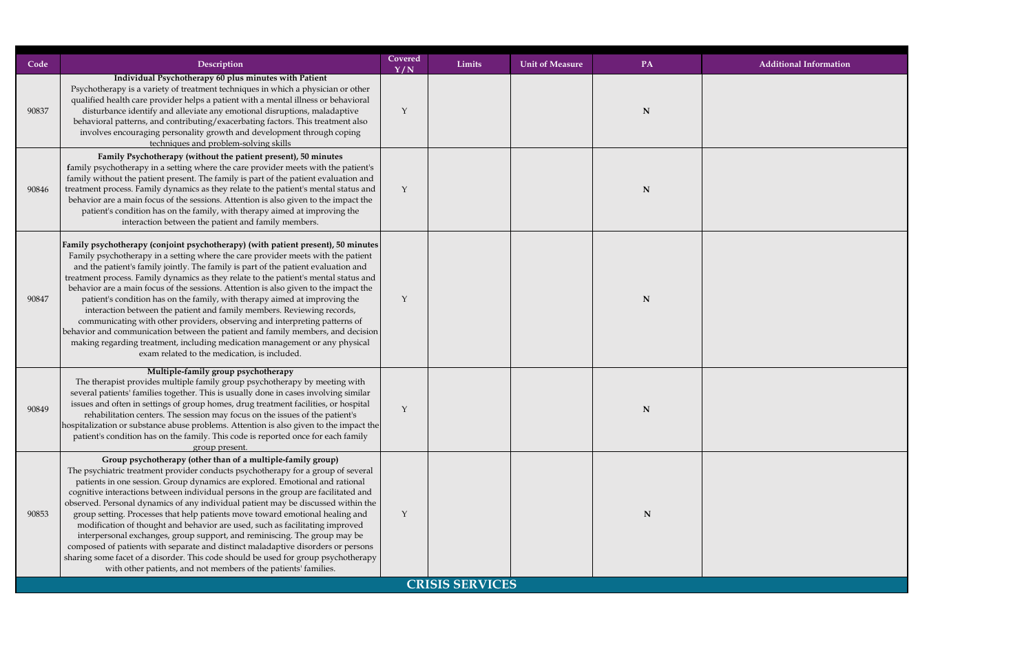| Code  | Description                                                                                                                                                                                                                                                                                                                                                                                                                                                                                                                                                                                                                                                                                                                                                                                                                                                                                           | <b>Covered</b><br>Y/N | Limits                 | Unit of Measure | PA | <b>Additional Information</b> |
|-------|-------------------------------------------------------------------------------------------------------------------------------------------------------------------------------------------------------------------------------------------------------------------------------------------------------------------------------------------------------------------------------------------------------------------------------------------------------------------------------------------------------------------------------------------------------------------------------------------------------------------------------------------------------------------------------------------------------------------------------------------------------------------------------------------------------------------------------------------------------------------------------------------------------|-----------------------|------------------------|-----------------|----|-------------------------------|
| 90837 | Individual Psychotherapy 60 plus minutes with Patient<br>Psychotherapy is a variety of treatment techniques in which a physician or other<br>qualified health care provider helps a patient with a mental illness or behavioral<br>disturbance identify and alleviate any emotional disruptions, maladaptive<br>behavioral patterns, and contributing/exacerbating factors. This treatment also<br>involves encouraging personality growth and development through coping<br>techniques and problem-solving skills                                                                                                                                                                                                                                                                                                                                                                                    | $\mathbf Y$           |                        |                 | N  |                               |
| 90846 | Family Psychotherapy (without the patient present), 50 minutes<br>family psychotherapy in a setting where the care provider meets with the patient's<br>family without the patient present. The family is part of the patient evaluation and<br>treatment process. Family dynamics as they relate to the patient's mental status and<br>behavior are a main focus of the sessions. Attention is also given to the impact the<br>patient's condition has on the family, with therapy aimed at improving the<br>interaction between the patient and family members.                                                                                                                                                                                                                                                                                                                                     | Y                     |                        |                 | N  |                               |
| 90847 | Family psychotherapy (conjoint psychotherapy) (with patient present), 50 minutes<br>Family psychotherapy in a setting where the care provider meets with the patient<br>and the patient's family jointly. The family is part of the patient evaluation and<br>treatment process. Family dynamics as they relate to the patient's mental status and<br>behavior are a main focus of the sessions. Attention is also given to the impact the<br>patient's condition has on the family, with therapy aimed at improving the<br>interaction between the patient and family members. Reviewing records,<br>communicating with other providers, observing and interpreting patterns of<br>behavior and communication between the patient and family members, and decision<br>making regarding treatment, including medication management or any physical<br>exam related to the medication, is included.    | Y                     |                        |                 | N  |                               |
| 90849 | Multiple-family group psychotherapy<br>The therapist provides multiple family group psychotherapy by meeting with<br>several patients' families together. This is usually done in cases involving similar<br>issues and often in settings of group homes, drug treatment facilities, or hospital<br>rehabilitation centers. The session may focus on the issues of the patient's<br>hospitalization or substance abuse problems. Attention is also given to the impact the<br>patient's condition has on the family. This code is reported once for each family<br>group present.                                                                                                                                                                                                                                                                                                                     | Y                     |                        |                 | N  |                               |
| 90853 | Group psychotherapy (other than of a multiple-family group)<br>The psychiatric treatment provider conducts psychotherapy for a group of several<br>patients in one session. Group dynamics are explored. Emotional and rational<br>cognitive interactions between individual persons in the group are facilitated and<br>observed. Personal dynamics of any individual patient may be discussed within the<br>group setting. Processes that help patients move toward emotional healing and<br>modification of thought and behavior are used, such as facilitating improved<br>interpersonal exchanges, group support, and reminiscing. The group may be<br>composed of patients with separate and distinct maladaptive disorders or persons<br>sharing some facet of a disorder. This code should be used for group psychotherapy<br>with other patients, and not members of the patients' families. |                       |                        |                 |    |                               |
|       |                                                                                                                                                                                                                                                                                                                                                                                                                                                                                                                                                                                                                                                                                                                                                                                                                                                                                                       |                       | <b>CRISIS SERVICES</b> |                 |    |                               |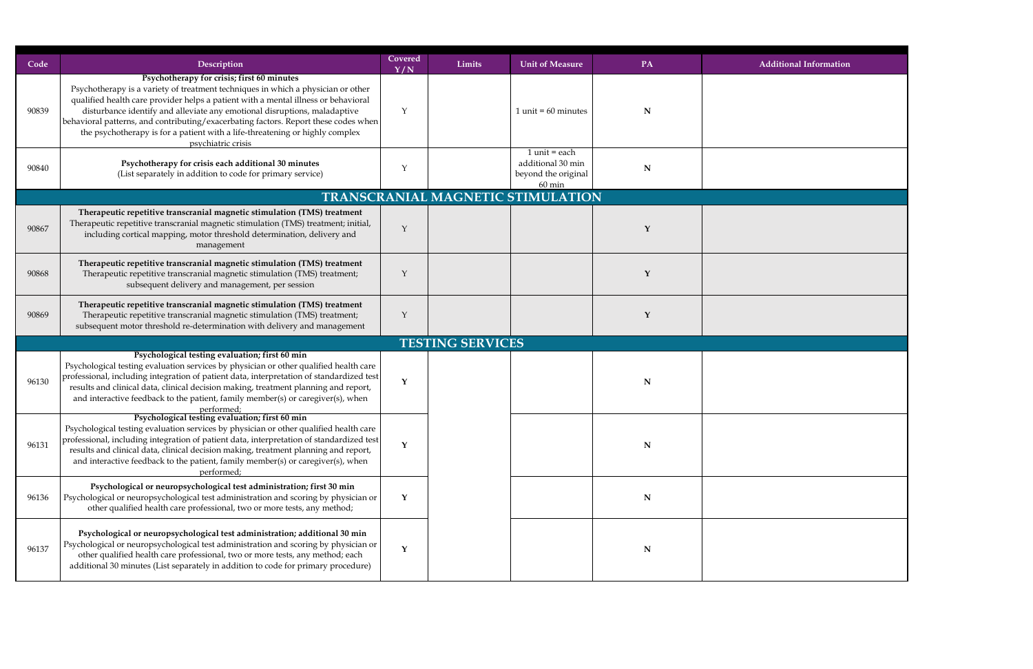| Code  | Description                                                                                                                                                                                                                                                                                                                                                                                                                                                                                    | Covered<br>Y/N | Limits | <b>Unit of Measure</b>                                                          | PA | <b>Additional Information</b> |  |  |
|-------|------------------------------------------------------------------------------------------------------------------------------------------------------------------------------------------------------------------------------------------------------------------------------------------------------------------------------------------------------------------------------------------------------------------------------------------------------------------------------------------------|----------------|--------|---------------------------------------------------------------------------------|----|-------------------------------|--|--|
| 90839 | Psychotherapy for crisis; first 60 minutes<br>Psychotherapy is a variety of treatment techniques in which a physician or other<br>qualified health care provider helps a patient with a mental illness or behavioral<br>disturbance identify and alleviate any emotional disruptions, maladaptive<br>behavioral patterns, and contributing/exacerbating factors. Report these codes when<br>the psychotherapy is for a patient with a life-threatening or highly complex<br>psychiatric crisis | Y              |        | $1$ unit = 60 minutes                                                           | N  |                               |  |  |
| 90840 | Psychotherapy for crisis each additional 30 minutes<br>(List separately in addition to code for primary service)                                                                                                                                                                                                                                                                                                                                                                               |                |        | $1$ unit = each<br>additional 30 min<br>beyond the original<br>$60 \text{ min}$ | N  |                               |  |  |
|       |                                                                                                                                                                                                                                                                                                                                                                                                                                                                                                |                |        | <b>TRANSCRANIAL MAGNETIC STIMULATION</b>                                        |    |                               |  |  |
| 90867 | Therapeutic repetitive transcranial magnetic stimulation (TMS) treatment<br>Therapeutic repetitive transcranial magnetic stimulation (TMS) treatment; initial,<br>including cortical mapping, motor threshold determination, delivery and<br>management                                                                                                                                                                                                                                        | Y              |        |                                                                                 |    |                               |  |  |
| 90868 | Therapeutic repetitive transcranial magnetic stimulation (TMS) treatment<br>Therapeutic repetitive transcranial magnetic stimulation (TMS) treatment;<br>subsequent delivery and management, per session                                                                                                                                                                                                                                                                                       |                |        |                                                                                 |    |                               |  |  |
| 90869 | Therapeutic repetitive transcranial magnetic stimulation (TMS) treatment<br>Therapeutic repetitive transcranial magnetic stimulation (TMS) treatment;<br>subsequent motor threshold re-determination with delivery and management                                                                                                                                                                                                                                                              | Y              |        |                                                                                 |    |                               |  |  |
|       | <b>TESTING SERVICES</b>                                                                                                                                                                                                                                                                                                                                                                                                                                                                        |                |        |                                                                                 |    |                               |  |  |
| 96130 | Psychological testing evaluation; first 60 min<br>Psychological testing evaluation services by physician or other qualified health care<br>professional, including integration of patient data, interpretation of standardized test<br>results and clinical data, clinical decision making, treatment planning and report,<br>and interactive feedback to the patient, family member(s) or caregiver(s), when<br>performed;                                                                    | $\mathbf{Y}$   |        |                                                                                 | N  |                               |  |  |
| 96131 | Psychological testing evaluation; first 60 min<br>Psychological testing evaluation services by physician or other qualified health care<br>professional, including integration of patient data, interpretation of standardized test<br>results and clinical data, clinical decision making, treatment planning and report,<br>and interactive feedback to the patient, family member(s) or caregiver(s), when<br>performed;                                                                    | $\mathbf Y$    |        |                                                                                 | N  |                               |  |  |
| 96136 | Psychological or neuropsychological test administration; first 30 min<br>Psychological or neuropsychological test administration and scoring by physician or<br>other qualified health care professional, two or more tests, any method;                                                                                                                                                                                                                                                       | $\mathbf Y$    |        |                                                                                 | N  |                               |  |  |
| 96137 | Psychological or neuropsychological test administration; additional 30 min<br>Psychological or neuropsychological test administration and scoring by physician or<br>other qualified health care professional, two or more tests, any method; each<br>additional 30 minutes (List separately in addition to code for primary procedure)                                                                                                                                                        | Y              |        |                                                                                 | N  |                               |  |  |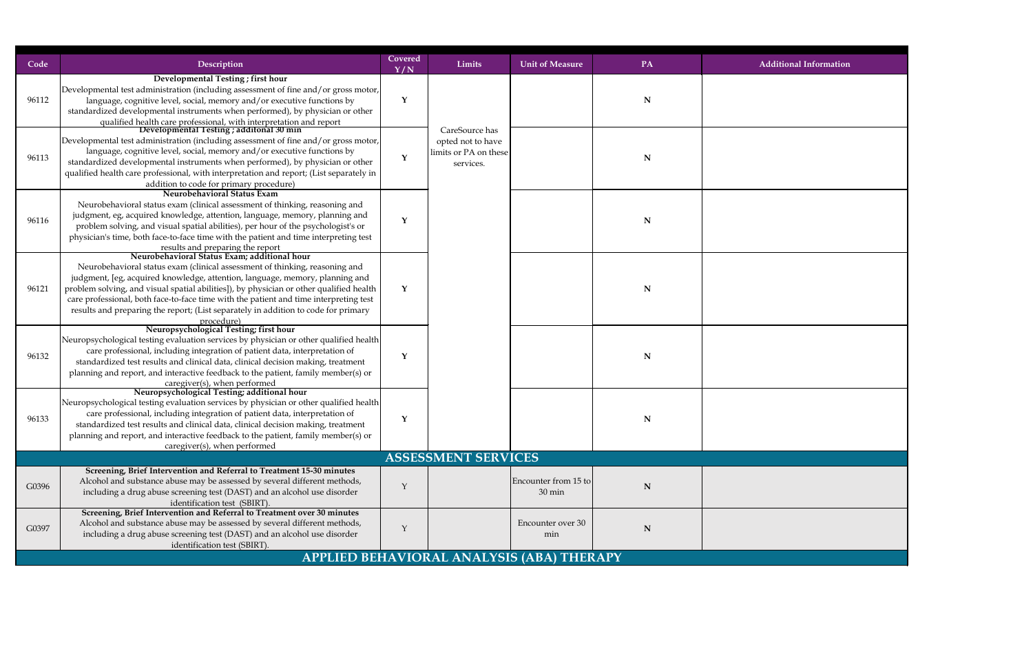| Code  | Description                                                                                                                                                                                                                                                                                                                                                                                                                                                                                             | Covered<br>Y/N | Limits                                                                    | <b>Unit of Measure</b>                   | PA | <b>Additional Information</b> |  |  |
|-------|---------------------------------------------------------------------------------------------------------------------------------------------------------------------------------------------------------------------------------------------------------------------------------------------------------------------------------------------------------------------------------------------------------------------------------------------------------------------------------------------------------|----------------|---------------------------------------------------------------------------|------------------------------------------|----|-------------------------------|--|--|
| 96112 | Developmental Testing; first hour<br>Developmental test administration (including assessment of fine and/or gross motor,<br>language, cognitive level, social, memory and/or executive functions by<br>standardized developmental instruments when performed), by physician or other                                                                                                                                                                                                                    | Y              |                                                                           |                                          | N  |                               |  |  |
| 96113 | qualified health care professional, with interpretation and report<br>Developmental Testing ; additonal 30 min<br>Developmental test administration (including assessment of fine and/or gross motor,<br>language, cognitive level, social, memory and/or executive functions by<br>standardized developmental instruments when performed), by physician or other<br>qualified health care professional, with interpretation and report; (List separately in<br>addition to code for primary procedure) | Y              | CareSource has<br>opted not to have<br>limits or PA on these<br>services. |                                          | N  |                               |  |  |
| 96116 | <b>Neurobehavioral Status Exam</b><br>Neurobehavioral status exam (clinical assessment of thinking, reasoning and<br>judgment, eg, acquired knowledge, attention, language, memory, planning and<br>problem solving, and visual spatial abilities), per hour of the psychologist's or<br>physician's time, both face-to-face time with the patient and time interpreting test<br>results and preparing the report                                                                                       | Y              |                                                                           |                                          | N  |                               |  |  |
| 96121 | Neurobehavioral Status Exam; additional hour<br>Neurobehavioral status exam (clinical assessment of thinking, reasoning and<br>judgment, [eg, acquired knowledge, attention, language, memory, planning and<br>problem solving, and visual spatial abilities]), by physician or other qualified health<br>care professional, both face-to-face time with the patient and time interpreting test<br>results and preparing the report; (List separately in addition to code for primary<br>procedure)     | $\mathbf{Y}$   |                                                                           |                                          |    |                               |  |  |
| 96132 | Neuropsychological Testing; first hour<br>Neuropsychological testing evaluation services by physician or other qualified health<br>care professional, including integration of patient data, interpretation of<br>standardized test results and clinical data, clinical decision making, treatment<br>planning and report, and interactive feedback to the patient, family member(s) or<br>caregiver(s), when performed                                                                                 | Y              |                                                                           |                                          | N  |                               |  |  |
| 96133 | Neuropsychological Testing; additional hour<br>Neuropsychological testing evaluation services by physician or other qualified health<br>care professional, including integration of patient data, interpretation of<br>standardized test results and clinical data, clinical decision making, treatment<br>planning and report, and interactive feedback to the patient, family member(s) or<br>caregiver(s), when performed                                                                            | Y              |                                                                           |                                          | N  |                               |  |  |
|       |                                                                                                                                                                                                                                                                                                                                                                                                                                                                                                         |                | <b>ASSESSMENT SERVICES</b>                                                |                                          |    |                               |  |  |
| G0396 | Screening, Brief Intervention and Referral to Treatment 15-30 minutes<br>Alcohol and substance abuse may be assessed by several different methods,<br>including a drug abuse screening test (DAST) and an alcohol use disorder<br>identification test (SBIRT).                                                                                                                                                                                                                                          |                |                                                                           | Encounter from 15 to<br>$30 \text{ min}$ | N  |                               |  |  |
| G0397 | Screening, Brief Intervention and Referral to Treatment over 30 minutes<br>Alcohol and substance abuse may be assessed by several different methods,<br>including a drug abuse screening test (DAST) and an alcohol use disorder<br>identification test (SBIRT).                                                                                                                                                                                                                                        | $\mathcal{N}$  |                                                                           | Encounter over 30<br>min                 | N  |                               |  |  |
|       | APPLIED BEHAVIORAL ANALYSIS (ABA) THERAPY                                                                                                                                                                                                                                                                                                                                                                                                                                                               |                |                                                                           |                                          |    |                               |  |  |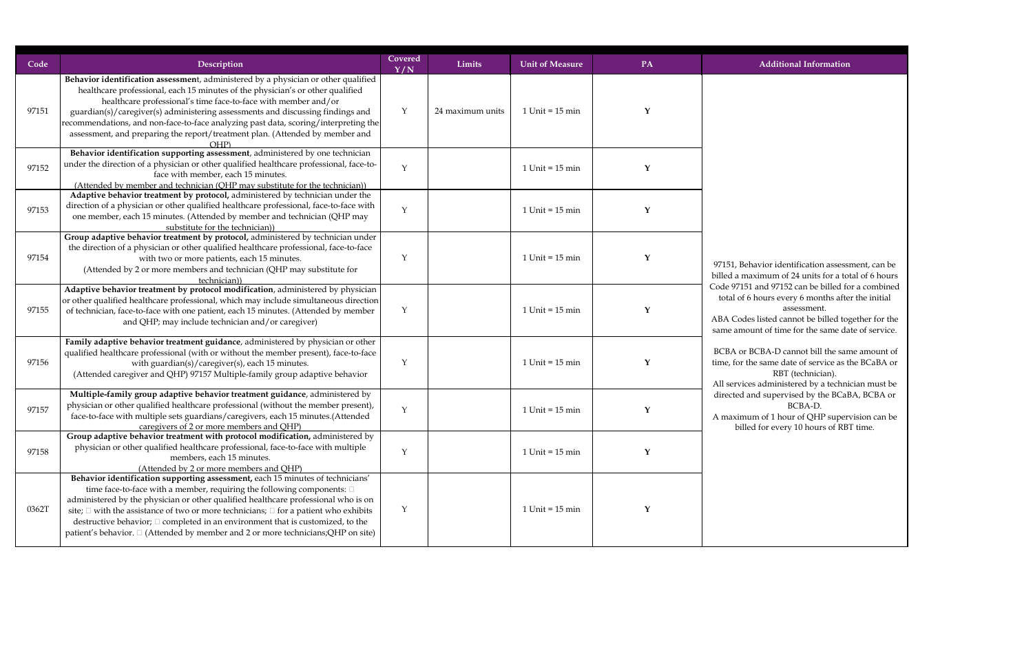| Code  | Description                                                                                                                                                                                                                                                                                                                                                                                                                                                                                                                               | Covered<br>Y/N | Limits           | <b>Unit of Measure</b> | PA | <b>Additional Information</b>                                                                                                                                                                                                                                                                                                                                                                                                                                                                                                                                                                                                                                                        |
|-------|-------------------------------------------------------------------------------------------------------------------------------------------------------------------------------------------------------------------------------------------------------------------------------------------------------------------------------------------------------------------------------------------------------------------------------------------------------------------------------------------------------------------------------------------|----------------|------------------|------------------------|----|--------------------------------------------------------------------------------------------------------------------------------------------------------------------------------------------------------------------------------------------------------------------------------------------------------------------------------------------------------------------------------------------------------------------------------------------------------------------------------------------------------------------------------------------------------------------------------------------------------------------------------------------------------------------------------------|
| 97151 | Behavior identification assessment, administered by a physician or other qualified<br>healthcare professional, each 15 minutes of the physician's or other qualified<br>healthcare professional's time face-to-face with member and/or<br>guardian(s)/caregiver(s) administering assessments and discussing findings and<br>recommendations, and non-face-to-face analyzing past data, scoring/interpreting the<br>assessment, and preparing the report/treatment plan. (Attended by member and                                           | Y              | 24 maximum units | $1$ Unit = $15$ min    |    |                                                                                                                                                                                                                                                                                                                                                                                                                                                                                                                                                                                                                                                                                      |
| 97152 | Behavior identification supporting assessment, administered by one technician<br>under the direction of a physician or other qualified healthcare professional, face-to-<br>face with member, each 15 minutes.<br>(Attended by member and technician (QHP may substitute for the technician))                                                                                                                                                                                                                                             | $\mathbf{v}$   |                  | 1 Unit = 15 min        |    |                                                                                                                                                                                                                                                                                                                                                                                                                                                                                                                                                                                                                                                                                      |
| 97153 | Adaptive behavior treatment by protocol, administered by technician under the<br>direction of a physician or other qualified healthcare professional, face-to-face with<br>one member, each 15 minutes. (Attended by member and technician (QHP may<br>substitute for the technician)                                                                                                                                                                                                                                                     | $\mathbf{v}$   |                  | 1 Unit = 15 min        |    | 97151, Behavior identification assessment, can be<br>billed a maximum of 24 units for a total of 6 hours<br>Code 97151 and 97152 can be billed for a combined<br>total of 6 hours every 6 months after the initial<br>assessment.<br>ABA Codes listed cannot be billed together for the<br>same amount of time for the same date of service.<br>BCBA or BCBA-D cannot bill the same amount of<br>time, for the same date of service as the BCaBA or<br>RBT (technician).<br>All services administered by a technician must be<br>directed and supervised by the BCaBA, BCBA or<br>BCBA-D.<br>A maximum of 1 hour of QHP supervision can be<br>billed for every 10 hours of RBT time. |
| 97154 | Group adaptive behavior treatment by protocol, administered by technician under<br>the direction of a physician or other qualified healthcare professional, face-to-face<br>with two or more patients, each 15 minutes.<br>(Attended by 2 or more members and technician (QHP may substitute for<br>technician)                                                                                                                                                                                                                           |                |                  | $1$ Unit = $15$ min    |    |                                                                                                                                                                                                                                                                                                                                                                                                                                                                                                                                                                                                                                                                                      |
| 97155 | Adaptive behavior treatment by protocol modification, administered by physician<br>or other qualified healthcare professional, which may include simultaneous direction<br>of technician, face-to-face with one patient, each 15 minutes. (Attended by member<br>and QHP; may include technician and/or caregiver)                                                                                                                                                                                                                        | Y              |                  | $1$ Unit = $15$ min    |    |                                                                                                                                                                                                                                                                                                                                                                                                                                                                                                                                                                                                                                                                                      |
| 97156 | Family adaptive behavior treatment guidance, administered by physician or other<br>qualified healthcare professional (with or without the member present), face-to-face<br>with guardian(s)/caregiver(s), each 15 minutes.<br>(Attended caregiver and QHP) 97157 Multiple-family group adaptive behavior                                                                                                                                                                                                                                  |                |                  | 1 Unit = 15 min        |    |                                                                                                                                                                                                                                                                                                                                                                                                                                                                                                                                                                                                                                                                                      |
| 97157 | Multiple-family group adaptive behavior treatment guidance, administered by<br>physician or other qualified healthcare professional (without the member present),<br>face-to-face with multiple sets guardians/caregivers, each 15 minutes. (Attended<br>caregivers of 2 or more members and QHP)                                                                                                                                                                                                                                         | $\mathbf{V}$   |                  | 1 Unit = 15 min        |    |                                                                                                                                                                                                                                                                                                                                                                                                                                                                                                                                                                                                                                                                                      |
| 97158 | Group adaptive behavior treatment with protocol modification, administered by<br>physician or other qualified healthcare professional, face-to-face with multiple<br>members, each 15 minutes.<br>(Attended by 2 or more members and QHP)                                                                                                                                                                                                                                                                                                 | $\mathbf{v}$   |                  | 1 Unit = 15 min        |    |                                                                                                                                                                                                                                                                                                                                                                                                                                                                                                                                                                                                                                                                                      |
| 0362T | Behavior identification supporting assessment, each 15 minutes of technicians'<br>time face-to-face with a member, requiring the following components: $\Box$<br>administered by the physician or other qualified healthcare professional who is on<br>site; $\Box$ with the assistance of two or more technicians; $\Box$ for a patient who exhibits<br>destructive behavior; $\square$ completed in an environment that is customized, to the<br>patient's behavior. $\Box$ (Attended by member and 2 or more technicians; QHP on site) | $\mathbf Y$    |                  | $1$ Unit = $15$ min    |    |                                                                                                                                                                                                                                                                                                                                                                                                                                                                                                                                                                                                                                                                                      |